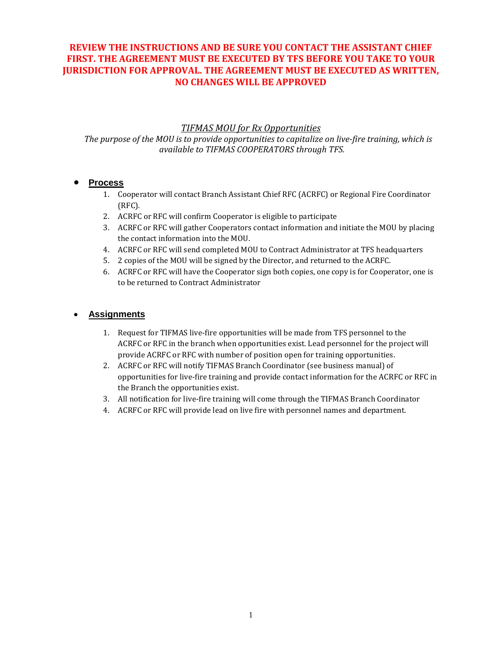# **REVIEW THE INSTRUCTIONS AND BE SURE YOU CONTACT THE ASSISTANT CHIEF FIRST. THE AGREEMENT MUST BE EXECUTED BY TFS BEFORE YOU TAKE TO YOUR JURISDICTION FOR APPROVAL. THE AGREEMENT MUST BE EXECUTED AS WRITTEN, NO CHANGES WILL BE APPROVED**

#### *TIFMAS MOU for Rx Opportunities*

*The purpose of the MOU is to provide opportunities to capitalize on live-fire training, which is available to TIFMAS COOPERATORS through TFS.* 

#### • **Process**

- 1. Cooperator will contact Branch Assistant Chief RFC (ACRFC) or Regional Fire Coordinator (RFC).
- 2. ACRFC or RFC will confirm Cooperator is eligible to participate
- 3. ACRFC or RFC will gather Cooperators contact information and initiate the MOU by placing the contact information into the MOU.
- 4. ACRFC or RFC will send completed MOU to Contract Administrator at TFS headquarters
- 5. 2 copies of the MOU will be signed by the Director, and returned to the ACRFC.
- 6. ACRFC or RFC will have the Cooperator sign both copies, one copy is for Cooperator, one is to be returned to Contract Administrator

#### • **Assignments**

- 1. Request for TIFMAS live-fire opportunities will be made from TFS personnel to the ACRFC or RFC in the branch when opportunities exist. Lead personnel for the project will provide ACRFC or RFC with number of position open for training opportunities.
- 2. ACRFC or RFC will notify TIFMAS Branch Coordinator (see business manual) of opportunities for live-fire training and provide contact information for the ACRFC or RFC in the Branch the opportunities exist.
- 3. All notification for live-fire training will come through the TIFMAS Branch Coordinator
- 4. ACRFC or RFC will provide lead on live fire with personnel names and department.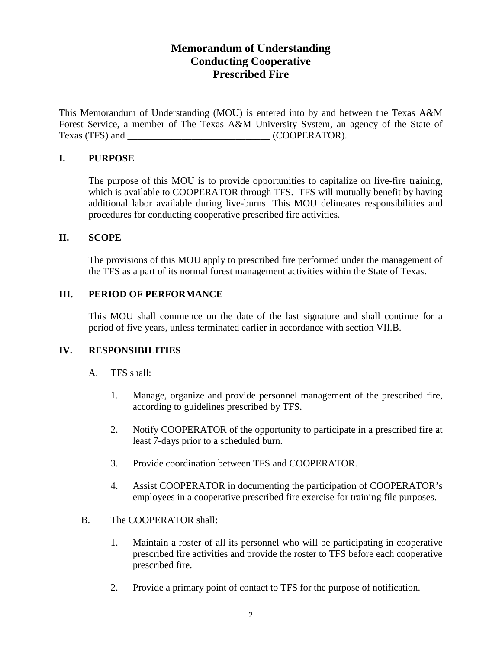# **Memorandum of Understanding Conducting Cooperative Prescribed Fire**

This Memorandum of Understanding (MOU) is entered into by and between the Texas A&M Forest Service, a member of The Texas A&M University System, an agency of the State of Texas (TFS) and \_\_\_\_\_\_\_\_\_\_\_\_\_\_\_\_\_\_\_\_\_\_\_\_\_\_\_\_\_ (COOPERATOR).

# **I. PURPOSE**

The purpose of this MOU is to provide opportunities to capitalize on live-fire training, which is available to COOPERATOR through TFS. TFS will mutually benefit by having additional labor available during live-burns. This MOU delineates responsibilities and procedures for conducting cooperative prescribed fire activities.

### **II. SCOPE**

The provisions of this MOU apply to prescribed fire performed under the management of the TFS as a part of its normal forest management activities within the State of Texas.

### **III. PERIOD OF PERFORMANCE**

This MOU shall commence on the date of the last signature and shall continue for a period of five years, unless terminated earlier in accordance with section VII.B.

### **IV. RESPONSIBILITIES**

- A. TFS shall:
	- 1. Manage, organize and provide personnel management of the prescribed fire, according to guidelines prescribed by TFS.
	- 2. Notify COOPERATOR of the opportunity to participate in a prescribed fire at least 7-days prior to a scheduled burn.
	- 3. Provide coordination between TFS and COOPERATOR.
	- 4. Assist COOPERATOR in documenting the participation of COOPERATOR's employees in a cooperative prescribed fire exercise for training file purposes.
- B. The COOPERATOR shall:
	- 1. Maintain a roster of all its personnel who will be participating in cooperative prescribed fire activities and provide the roster to TFS before each cooperative prescribed fire.
	- 2. Provide a primary point of contact to TFS for the purpose of notification.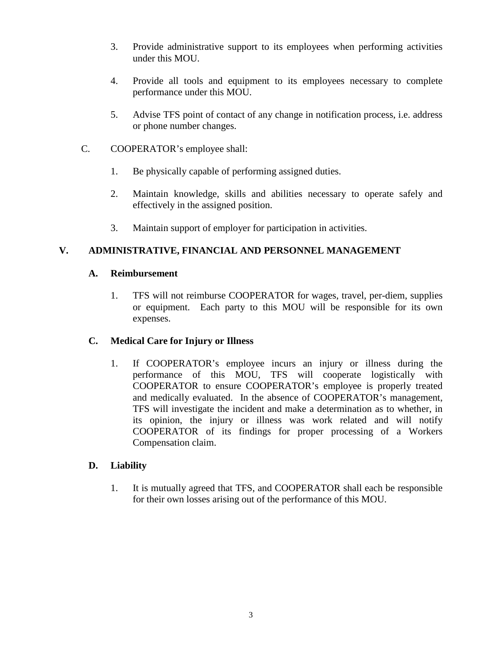- 3. Provide administrative support to its employees when performing activities under this MOU.
- 4. Provide all tools and equipment to its employees necessary to complete performance under this MOU.
- 5. Advise TFS point of contact of any change in notification process, i.e. address or phone number changes.
- C. COOPERATOR's employee shall:
	- 1. Be physically capable of performing assigned duties.
	- 2. Maintain knowledge, skills and abilities necessary to operate safely and effectively in the assigned position.
	- 3. Maintain support of employer for participation in activities.

# **V. ADMINISTRATIVE, FINANCIAL AND PERSONNEL MANAGEMENT**

### **A. Reimbursement**

1. TFS will not reimburse COOPERATOR for wages, travel, per-diem, supplies or equipment. Each party to this MOU will be responsible for its own expenses.

### **C. Medical Care for Injury or Illness**

1. If COOPERATOR's employee incurs an injury or illness during the performance of this MOU, TFS will cooperate logistically with COOPERATOR to ensure COOPERATOR's employee is properly treated and medically evaluated. In the absence of COOPERATOR's management, TFS will investigate the incident and make a determination as to whether, in its opinion, the injury or illness was work related and will notify COOPERATOR of its findings for proper processing of a Workers Compensation claim.

### **D. Liability**

 1. It is mutually agreed that TFS, and COOPERATOR shall each be responsible for their own losses arising out of the performance of this MOU.